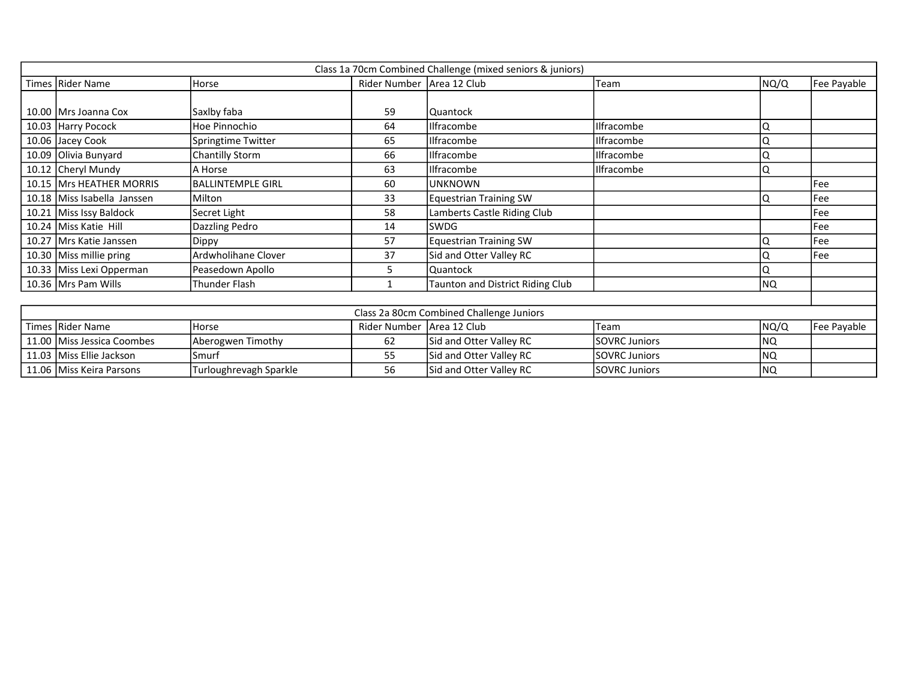| Class 1a 70cm Combined Challenge (mixed seniors & juniors) |                             |                          |                             |                                         |                      |      |             |  |
|------------------------------------------------------------|-----------------------------|--------------------------|-----------------------------|-----------------------------------------|----------------------|------|-------------|--|
|                                                            | Times Rider Name            | Horse                    | Rider Number   Area 12 Club |                                         | Team                 | NQ/Q | Fee Payable |  |
|                                                            |                             |                          |                             |                                         |                      |      |             |  |
|                                                            | 10.00   Mrs Joanna Cox      | Saxlby faba              | 59                          | Quantock                                |                      |      |             |  |
|                                                            | 10.03 Harry Pocock          | Hoe Pinnochio            | 64                          | Ilfracombe                              | <b>Ilfracombe</b>    |      |             |  |
|                                                            | 10.06 Jacey Cook            | Springtime Twitter       | 65                          | <b>Ilfracombe</b>                       | Ilfracombe           |      |             |  |
|                                                            | 10.09 Olivia Bunyard        | <b>Chantilly Storm</b>   | 66                          | <b>Ilfracombe</b>                       | Ilfracombe           |      |             |  |
|                                                            | 10.12 Cheryl Mundy          | A Horse                  | 63                          | Ilfracombe                              | Ilfracombe           |      |             |  |
|                                                            | 10.15 Mrs HEATHER MORRIS    | <b>BALLINTEMPLE GIRL</b> | 60                          | <b>UNKNOWN</b>                          |                      |      | Fee         |  |
|                                                            | 10.18 Miss Isabella Janssen | Milton                   | 33                          | <b>Equestrian Training SW</b>           |                      |      | Fee         |  |
|                                                            | 10.21 Miss Issy Baldock     | Secret Light             | 58                          | Lamberts Castle Riding Club             |                      |      | Fee         |  |
|                                                            | 10.24 Miss Katie Hill       | Dazzling Pedro           | 14                          | SWDG                                    |                      |      | Fee         |  |
|                                                            | 10.27 Mrs Katie Janssen     | Dippy                    | 57                          | <b>Equestrian Training SW</b>           |                      |      | Fee         |  |
|                                                            | 10.30 Miss millie pring     | Ardwholihane Clover      | 37                          | Sid and Otter Valley RC                 |                      |      | Fee         |  |
|                                                            | 10.33 Miss Lexi Opperman    | Peasedown Apollo         | 5                           | Quantock                                |                      |      |             |  |
|                                                            | 10.36   Mrs Pam Wills       | Thunder Flash            | $\mathbf{1}$                | <b>Taunton and District Riding Club</b> |                      | NQ.  |             |  |
|                                                            |                             |                          |                             |                                         |                      |      |             |  |
| Class 2a 80cm Combined Challenge Juniors                   |                             |                          |                             |                                         |                      |      |             |  |
|                                                            | Times Rider Name            | Horse                    | Rider Number   Area 12 Club |                                         | Team                 | NQ/Q | Fee Payable |  |
|                                                            | 11.00 Miss Jessica Coombes  | Aberogwen Timothy        | 62                          | Sid and Otter Valley RC                 | <b>SOVRC Juniors</b> | NQ.  |             |  |
|                                                            | 11.03 Miss Ellie Jackson    | Smurf                    | 55                          | Sid and Otter Valley RC                 | <b>SOVRC Juniors</b> | NQ   |             |  |
|                                                            | 11.06 Miss Keira Parsons    | Turloughrevagh Sparkle   | 56                          | Sid and Otter Valley RC                 | <b>SOVRC Juniors</b> | Ino. |             |  |

11.06 Miss Keira Parsons Turloughrevagh Sparkle 56 Sid and Otter Valley RC SOVRC Juniors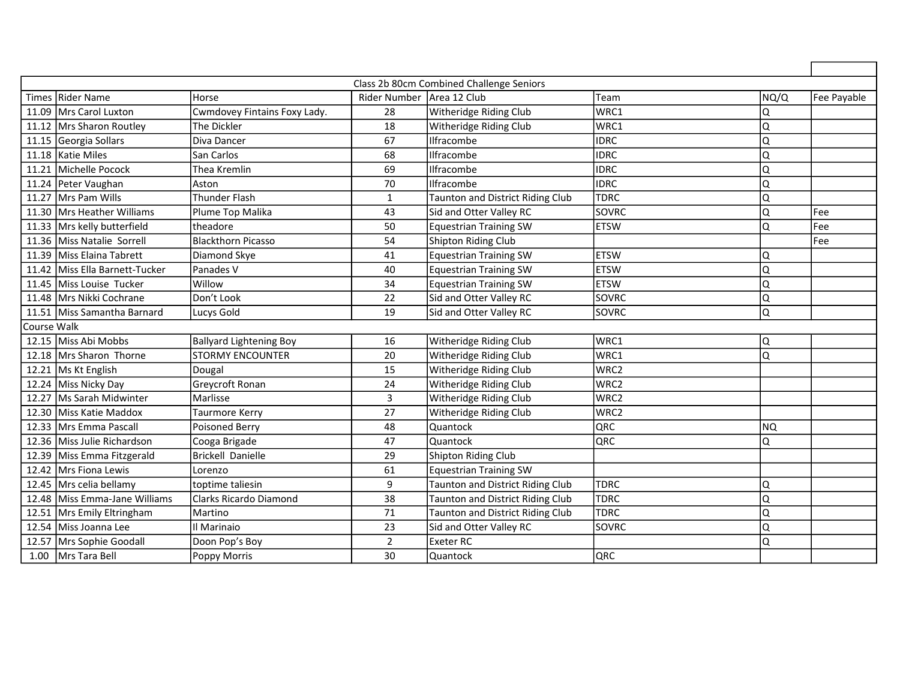| Class 2b 80cm Combined Challenge Seniors |                                |                              |                             |                                         |              |           |             |
|------------------------------------------|--------------------------------|------------------------------|-----------------------------|-----------------------------------------|--------------|-----------|-------------|
|                                          | Times Rider Name               | <b>Horse</b>                 | Rider Number   Area 12 Club |                                         | Team         | NQ/Q      | Fee Payable |
|                                          | 11.09 Mrs Carol Luxton         | Cwmdovey Fintains Foxy Lady. | 28                          | Witheridge Riding Club                  | WRC1         | Q         |             |
|                                          | 11.12 Mrs Sharon Routley       | The Dickler                  | 18                          | Witheridge Riding Club                  | WRC1         | Q         |             |
|                                          | 11.15 Georgia Sollars          | Diva Dancer                  | 67                          | Ilfracombe                              | Iidrc        | Q         |             |
|                                          | 11.18 Katie Miles              | San Carlos                   | 68                          | Ilfracombe                              | <b>IDRC</b>  | Q         |             |
|                                          | 11.21 Michelle Pocock          | Thea Kremlin                 | 69                          | Ilfracombe                              | <b>IDRC</b>  | Q         |             |
|                                          | 11.24 Peter Vaughan            | lAston                       | 70                          | Ilfracombe                              | <b>IDRC</b>  | Q         |             |
|                                          | 11.27 Mrs Pam Wills            | <b>Thunder Flash</b>         | $\mathbf{1}$                | Taunton and District Riding Club        | <b>TDRC</b>  | Q         |             |
|                                          | 11.30 Mrs Heather Williams     | Plume Top Malika             | 43                          | Sid and Otter Valley RC                 | SOVRC        | Q         | Fee         |
|                                          | 11.33 Mrs kelly butterfield    | ltheadore                    | 50                          | <b>Equestrian Training SW</b>           | <b>ETSW</b>  | Q         | Fee         |
|                                          | 11.36 Miss Natalie Sorrell     | Blackthorn Picasso           | 54                          | Shipton Riding Club                     |              |           | Fee         |
|                                          | 11.39 Miss Elaina Tabrett      | Diamond Skye                 | 41                          | <b>Equestrian Training SW</b>           | <b>ETSW</b>  | Q         |             |
|                                          | 11.42 Miss Ella Barnett-Tucker | Panades V                    | 40                          | <b>Equestrian Training SW</b>           | <b>ETSW</b>  | Q         |             |
|                                          | 11.45 Miss Louise Tucker       | Willow                       | 34                          | <b>Equestrian Training SW</b>           | <b>ETSW</b>  | Q         |             |
|                                          | 11.48 Mrs Nikki Cochrane       | Don't Look                   | 22                          | Sid and Otter Valley RC                 | <b>SOVRC</b> | Q         |             |
|                                          | 11.51 Miss Samantha Barnard    | Lucys Gold                   | 19                          | Sid and Otter Valley RC                 | <b>SOVRC</b> | Q         |             |
| Course Walk                              |                                |                              |                             |                                         |              |           |             |
|                                          | 12.15 Miss Abi Mobbs           | Ballyard Lightening Boy      | 16                          | Witheridge Riding Club                  | WRC1         | Q         |             |
|                                          | 12.18 Mrs Sharon Thorne        | <b>STORMY ENCOUNTER</b>      | 20                          | Witheridge Riding Club                  | WRC1         | Q         |             |
|                                          | 12.21 Ms Kt English            | Dougal                       | 15                          | Witheridge Riding Club                  | WRC2         |           |             |
|                                          | 12.24 Miss Nicky Day           | Greycroft Ronan              | 24                          | Witheridge Riding Club                  | WRC2         |           |             |
|                                          | 12.27 Ms Sarah Midwinter       | Marlisse                     | $\mathbf{3}$                | Witheridge Riding Club                  | WRC2         |           |             |
|                                          | 12.30 Miss Katie Maddox        | Taurmore Kerry               | 27                          | Witheridge Riding Club                  | WRC2         |           |             |
|                                          | 12.33 Mrs Emma Pascall         | Poisoned Berry               | 48                          | Quantock                                | QRC          | <b>NQ</b> |             |
|                                          | 12.36 Miss Julie Richardson    | Cooga Brigade                | 47                          | <b>Quantock</b>                         | QRC          | Q         |             |
|                                          | 12.39 Miss Emma Fitzgerald     | Brickell Danielle            | 29                          | Shipton Riding Club                     |              |           |             |
|                                          | 12.42 Mrs Fiona Lewis          | Lorenzo                      | 61                          | <b>Equestrian Training SW</b>           |              |           |             |
|                                          | 12.45 Mrs celia bellamy        | toptime taliesin             | 9                           | <b>Taunton and District Riding Club</b> | <b>TDRC</b>  | Q         |             |
|                                          | 12.48 Miss Emma-Jane Williams  | Clarks Ricardo Diamond       | 38                          | <b>Taunton and District Riding Club</b> | <b>TDRC</b>  | Q         |             |
|                                          | 12.51 Mrs Emily Eltringham     | l Martino                    | 71                          | Taunton and District Riding Club        | <b>TDRC</b>  | Q         |             |
|                                          | 12.54 Miss Joanna Lee          | III Marinaio                 | 23                          | Sid and Otter Valley RC                 | SOVRC        | Q         |             |
|                                          | 12.57 Mrs Sophie Goodall       | Doon Pop's Boy               | $\overline{2}$              | <b>Exeter RC</b>                        |              | Q         |             |
|                                          | 1.00 Mrs Tara Bell             | Poppy Morris                 | 30                          | Quantock                                | QRC          |           |             |